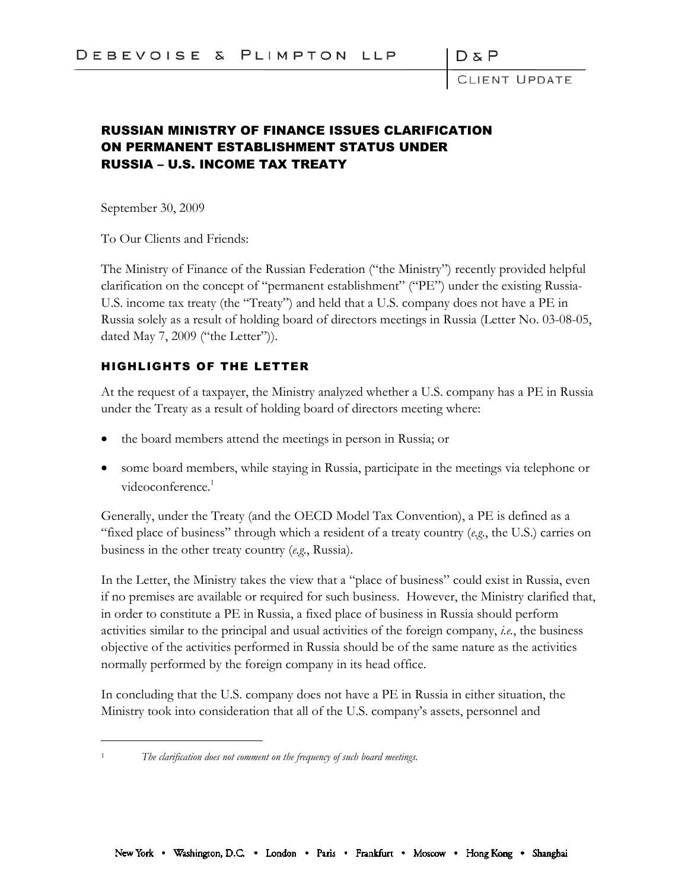LIENT UPDATE

## RUSSIAN MINISTRY OF FINANCE ISSUES CLARIFICATION ON PERMANENT ESTABLISHMENT STATUS UNDER RUSSIA – U.S. INCOME TAX TREATY

September 30, 2009

To Our Clients and Friends:

The Ministry of Finance of the Russian Federation ("the Ministry") recently provided helpful clarification on the concept of "permanent establishment" ("PE") under the existing Russia-U.S. income tax treaty (the "Treaty") and held that a U.S. company does not have a PE in Russia solely as a result of holding board of directors meetings in Russia (Letter No. 03-08-05, dated May 7, 2009 ("the Letter")).

## HIGHLIGHTS OF THE LETTER

At the request of a taxpayer, the Ministry analyzed whether a U.S. company has a PE in Russia under the Treaty as a result of holding board of directors meeting where:

- the board members attend the meetings in person in Russia; or
- some board members, while staying in Russia, participate in the meetings via telephone or videoconference.<sup>1</sup>

Generally, under the Treaty (and the OECD Model Tax Convention), a PE is defined as a "fixed place of business" through which a resident of a treaty country (*e.g*., the U.S.) carries on business in the other treaty country (*e.g*., Russia).

In the Letter, the Ministry takes the view that a "place of business" could exist in Russia, even if no premises are available or required for such business. However, the Ministry clarified that, in order to constitute a PE in Russia, a fixed place of business in Russia should perform activities similar to the principal and usual activities of the foreign company, *i.e.*, the business objective of the activities performed in Russia should be of the same nature as the activities normally performed by the foreign company in its head office.

In concluding that the U.S. company does not have a PE in Russia in either situation, the Ministry took into consideration that all of the U.S. company's assets, personnel and

<sup>1</sup> *The clarification does not comment on the frequency of such board meetings.*